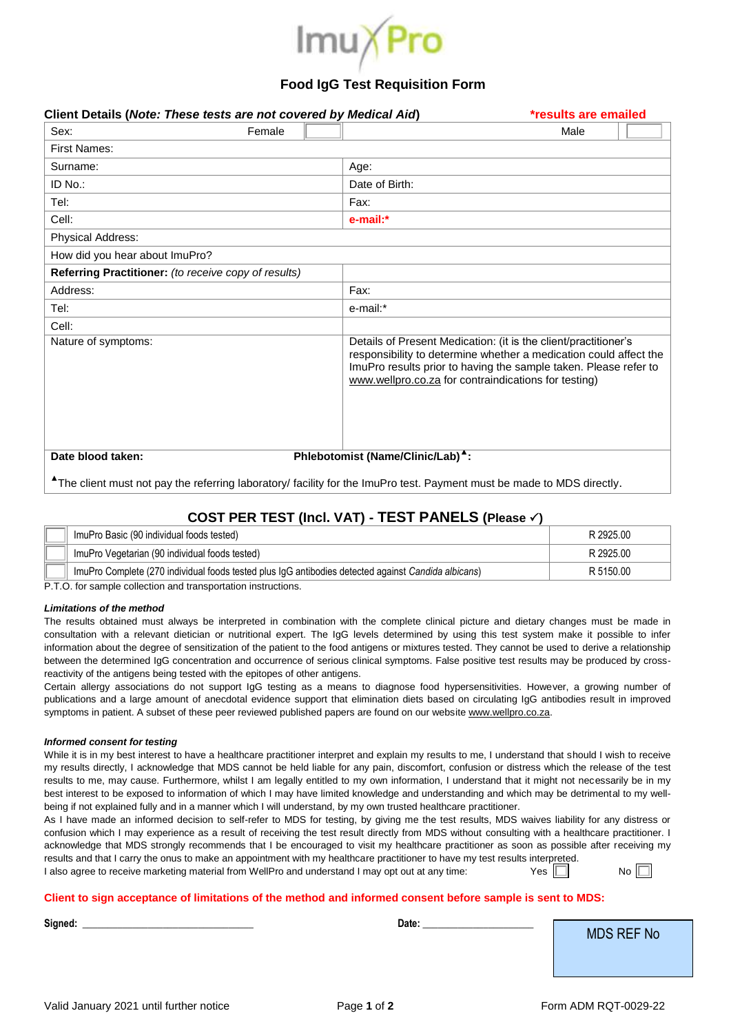

## **Food IgG Test Requisition Form**

| Client Details (Note: These tests are not covered by Medical Aid) |        |                                                      | *results are emailed                                                                                                                                                                                     |
|-------------------------------------------------------------------|--------|------------------------------------------------------|----------------------------------------------------------------------------------------------------------------------------------------------------------------------------------------------------------|
| Sex:                                                              | Female |                                                      | Male                                                                                                                                                                                                     |
| <b>First Names:</b>                                               |        |                                                      |                                                                                                                                                                                                          |
| Surname:                                                          |        | Age:                                                 |                                                                                                                                                                                                          |
| ID No.:                                                           |        | Date of Birth:                                       |                                                                                                                                                                                                          |
| Tel:                                                              |        | Fax:                                                 |                                                                                                                                                                                                          |
| Cell:                                                             |        | e-mail:*                                             |                                                                                                                                                                                                          |
| Physical Address:                                                 |        |                                                      |                                                                                                                                                                                                          |
| How did you hear about ImuPro?                                    |        |                                                      |                                                                                                                                                                                                          |
| Referring Practitioner: (to receive copy of results)              |        |                                                      |                                                                                                                                                                                                          |
| Address:                                                          |        | Fax:                                                 |                                                                                                                                                                                                          |
| Tel:                                                              |        | e-mail:*                                             |                                                                                                                                                                                                          |
| Cell:                                                             |        |                                                      |                                                                                                                                                                                                          |
| Nature of symptoms:                                               |        | www.wellpro.co.za for contraindications for testing) | Details of Present Medication: (it is the client/practitioner's<br>responsibility to determine whether a medication could affect the<br>ImuPro results prior to having the sample taken. Please refer to |
| Date blood taken:                                                 |        | Phlebotomist (Name/Clinic/Lab) <sup>4</sup> :        |                                                                                                                                                                                                          |

**▲** The client must not pay the referring laboratory/ facility for the ImuPro test. Payment must be made to MDS directly.

# **COST PER TEST (Incl. VAT) - TEST PANELS (Please )**

| ImuPro Basic (90 individual foods tested)                                                           | R 2925.00 |
|-----------------------------------------------------------------------------------------------------|-----------|
| ImuPro Vegetarian (90 individual foods tested)                                                      | R 2925.00 |
| ImuPro Complete (270 individual foods tested plus IgG antibodies detected against Candida albicans) | R 5150.00 |

P.T.O. for sample collection and transportation instructions.

#### *Limitations of the method*

The results obtained must always be interpreted in combination with the complete clinical picture and dietary changes must be made in consultation with a relevant dietician or nutritional expert. The IgG levels determined by using this test system make it possible to infer information about the degree of sensitization of the patient to the food antigens or mixtures tested. They cannot be used to derive a relationship between the determined IgG concentration and occurrence of serious clinical symptoms. False positive test results may be produced by crossreactivity of the antigens being tested with the epitopes of other antigens.

Certain allergy associations do not support IgG testing as a means to diagnose food hypersensitivities. However, a growing number of publications and a large amount of anecdotal evidence support that elimination diets based on circulating IgG antibodies result in improved symptoms in patient. A subset of these peer reviewed published papers are found on our website www.wellpro.co.za.

#### *Informed consent for testing*

While it is in my best interest to have a healthcare practitioner interpret and explain my results to me, I understand that should I wish to receive my results directly, I acknowledge that MDS cannot be held liable for any pain, discomfort, confusion or distress which the release of the test results to me, may cause. Furthermore, whilst I am legally entitled to my own information, I understand that it might not necessarily be in my best interest to be exposed to information of which I may have limited knowledge and understanding and which may be detrimental to my wellbeing if not explained fully and in a manner which I will understand, by my own trusted healthcare practitioner.

As I have made an informed decision to self-refer to MDS for testing, by giving me the test results, MDS waives liability for any distress or confusion which I may experience as a result of receiving the test result directly from MDS without consulting with a healthcare practitioner. I acknowledge that MDS strongly recommends that I be encouraged to visit my healthcare practitioner as soon as possible after receiving my results and that I carry the onus to make an appointment with my healthcare practitioner to have my test results interpreted.

| I also agree to receive marketing material from WellPro and understand I may opt out at any time: |  |  | Yes $ $ | Nc |
|---------------------------------------------------------------------------------------------------|--|--|---------|----|
|                                                                                                   |  |  |         |    |

### **Client to sign acceptance of limitations of the method and informed consent before sample is sent to MDS:**

| Signed: | Date: | <b>MDS REF No</b> |
|---------|-------|-------------------|
|         |       |                   |
|         |       |                   |